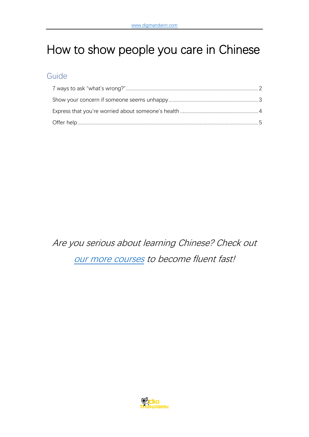# How to show people you care in Chinese

## Guide

Are you serious about learning Chinese? Check out [our more courses](https://www.digmandarin.com/chinese-language-courses?bbc_pdf) to become fluent fast!

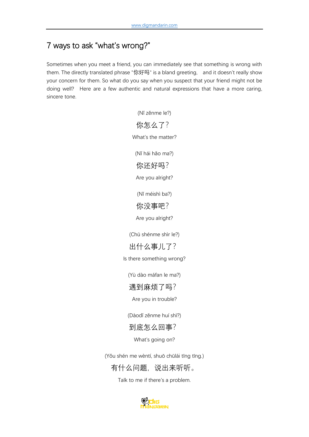# <span id="page-1-0"></span>7 ways to ask "what's wrong?"

Sometimes when you meet a friend, you can immediately see that something is wrong with them. The directly translated phrase "你好吗" is a bland greeting, and it doesn't really show your concern for them. So what do you say when you suspect that your friend might not be doing well? Here are a few authentic and natural expressions that have a more caring, sincere tone.

(Nǐ zěnme le?)

你怎么了? What's the matter? (Nǐ hái hǎo ma?) 你还好吗? Are you alright? (Nǐ méishì ba?) 你没事吧? Are you alright? (Chū shénme shìr le?) 出什么事儿了? Is there something wrong? (Yù dào máfan le ma?) 遇到麻烦了吗? Are you in trouble? (Dàodǐ zěnme huí shì?) 到底怎么回事? What's going on? (Yǒu shén me wèntí, shuō chūlái tīng tīng.) 有什么问题,说出来听听。

Talk to me if there's a problem.

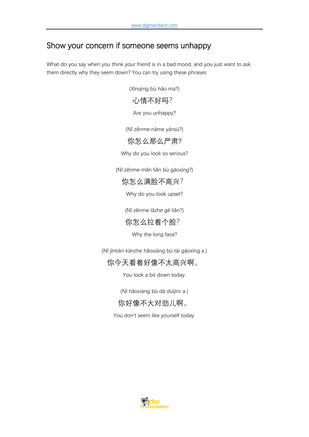# <span id="page-2-0"></span>Show your concern if someone seems unhappy

What do you say when you think your friend is in a bad mood, and you just want to ask them directly why they seem down? You can try using these phrases:

(Xīnqíng bù hǎo ma?)

#### 心情不好吗?

Are you unhappy?

(Nǐ zěnme nàme yánsù?)

#### 你怎么那么严肃?

Why do you look so serious?

(Nǐ zěnme mǎn liǎn bù gāoxìng?)

你怎么满脸不高兴?

Why do you look upset?

(Nǐ zěnme lāzhe gè liǎn?)

你怎么拉着个脸?

Why the long face?

(Nǐ jīntiān kànzhe hǎoxiàng bù tài gāoxìng a.)

## 你今天看着好像不太高兴啊。

You look a bit down today.

(Nǐ hǎoxiàng bù dà duìjìnr a.)

## 你好像不大对劲儿啊。

You don't seem like yourself today.

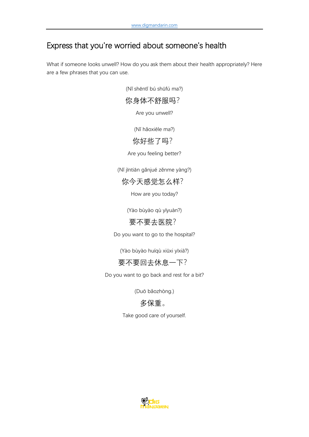# <span id="page-3-0"></span>Express that you're worried about someone's health

What if someone looks unwell? How do you ask them about their health appropriately? Here are a few phrases that you can use.

(Nǐ shēntǐ bú shūfú ma?)

你身体不舒服吗?

Are you unwell?

(Nǐ hǎoxiēle ma?)

#### 你好些了吗?

Are you feeling better?

(Nǐ jīntiān gǎnjué zěnme yàng?)

你今天感觉怎么样?

How are you today?

(Yào bùyào qù yīyuàn?)

#### 要不要去医院?

Do you want to go to the hospital?

(Yào bùyào huíqù xiūxi yīxià?)

#### 要不要回去休息一下?

Do you want to go back and rest for a bit?

(Duō bǎozhòng.)

## 多保重。

Take good care of yourself.